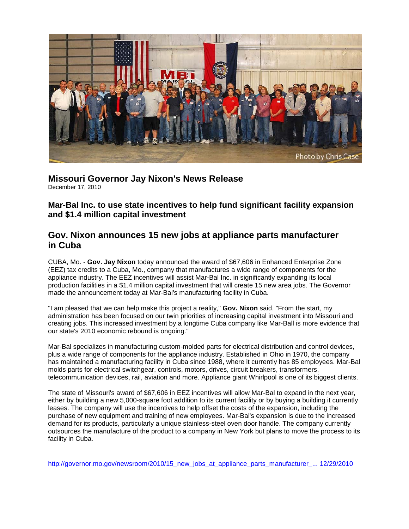

**Missouri Governor Jay Nixon's News Release** December 17, 2010

**Mar-Bal Inc. to use state incentives to help fund significant facility expansion and \$1.4 million capital investment**

## **Gov. Nixon announces 15 new jobs at appliance parts manufacturer in Cuba**

CUBA, Mo. - **Gov. Jay Nixon** today announced the award of \$67,606 in Enhanced Enterprise Zone (EEZ) tax credits to a Cuba, Mo., company that manufactures a wide range of components for the appliance industry. The EEZ incentives will assist Mar-Bal Inc. in significantly expanding its local production facilities in a \$1.4 million capital investment that will create 15 new area jobs. The Governor made the announcement today at Mar-Bal's manufacturing facility in Cuba.

"I am pleased that we can help make this project a reality," **Gov. Nixon** said. "From the start, my administration has been focused on our twin priorities of increasing capital investment into Missouri and creating jobs. This increased investment by a longtime Cuba company like Mar-Ball is more evidence that our state's 2010 economic rebound is ongoing."

Mar-Bal specializes in manufacturing custom-molded parts for electrical distribution and control devices, plus a wide range of components for the appliance industry. Established in Ohio in 1970, the company has maintained a manufacturing facility in Cuba since 1988, where it currently has 85 employees. Mar-Bal molds parts for electrical switchgear, controls, motors, drives, circuit breakers, transformers, telecommunication devices, rail, aviation and more. Appliance giant Whirlpool is one of its biggest clients.

The state of Missouri's award of \$67,606 in EEZ incentives will allow Mar-Bal to expand in the next year, either by building a new 5,000-square foot addition to its current facility or by buying a building it currently leases. The company will use the incentives to help offset the costs of the expansion, including the purchase of new equipment and training of new employees. Mar-Bal's expansion is due to the increased demand for its products, particularly a unique stainless-steel oven door handle. The company currently outsources the manufacture of the product to a company in New York but plans to move the process to its facility in Cuba.

[http://governor.mo.gov/newsroom/2010/15\\_new\\_jobs\\_at\\_appliance\\_parts\\_manufacturer\\_... 12/29/2010](http://governor.mo.gov/newsroom/2010/15_new_jobs_at_appliance_parts_manufacturer_...%2012/29/2010)